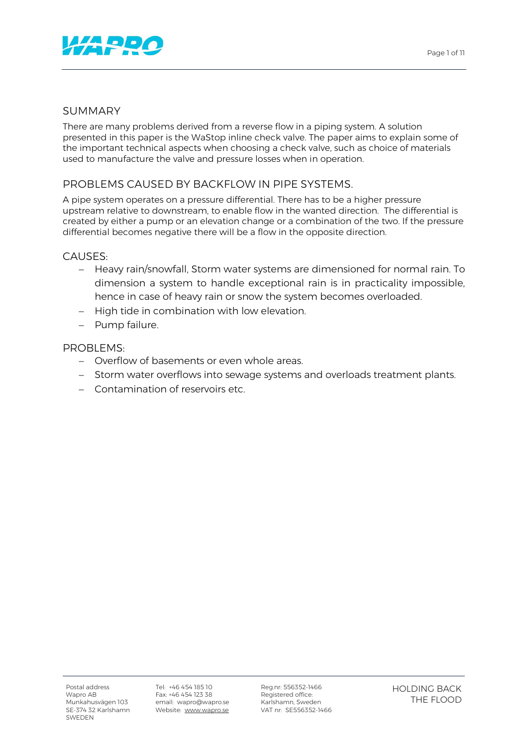

## SUMMARY

There are many problems derived from a reverse flow in a piping system. A solution presented in this paper is the WaStop inline check valve. The paper aims to explain some of the important technical aspects when choosing a check valve, such as choice of materials used to manufacture the valve and pressure losses when in operation.

# PROBLEMS CAUSED BY BACKFLOW IN PIPE SYSTEMS.

A pipe system operates on a pressure differential. There has to be a higher pressure upstream relative to downstream, to enable flow in the wanted direction. The differential is created by either a pump or an elevation change or a combination of the two. If the pressure differential becomes negative there will be a flow in the opposite direction.

### CAUSES:

- Heavy rain/snowfall, Storm water systems are dimensioned for normal rain. To dimension a system to handle exceptional rain is in practicality impossible, hence in case of heavy rain or snow the system becomes overloaded.
- High tide in combination with low elevation.
- Pump failure.

### PROBLEMS:

- Overflow of basements or even whole areas.
- Storm water overflows into sewage systems and overloads treatment plants.
- Contamination of reservoirs etc.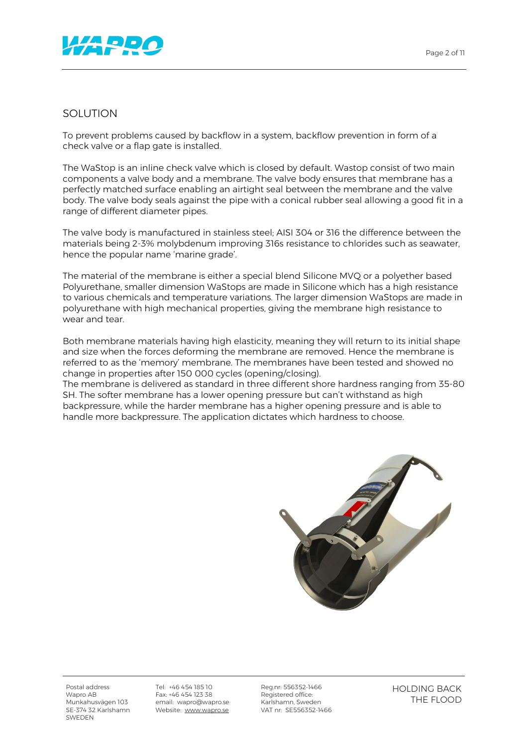

### SOLUTION

To prevent problems caused by backflow in a system, backflow prevention in form of a check valve or a flap gate is installed.

The WaStop is an inline check valve which is closed by default. Wastop consist of two main components a valve body and a membrane. The valve body ensures that membrane has a perfectly matched surface enabling an airtight seal between the membrane and the valve body. The valve body seals against the pipe with a conical rubber seal allowing a good fit in a range of different diameter pipes.

The valve body is manufactured in stainless steel; AISI 304 or 316 the difference between the materials being 2-3% molybdenum improving 316s resistance to chlorides such as seawater, hence the popular name 'marine grade'.

The material of the membrane is either a special blend Silicone MVQ or a polyether based Polyurethane, smaller dimension WaStops are made in Silicone which has a high resistance to various chemicals and temperature variations. The larger dimension WaStops are made in polyurethane with high mechanical properties, giving the membrane high resistance to wear and tear.

Both membrane materials having high elasticity, meaning they will return to its initial shape and size when the forces deforming the membrane are removed. Hence the membrane is referred to as the 'memory' membrane. The membranes have been tested and showed no change in properties after 150 000 cycles (opening/closing).

The membrane is delivered as standard in three different shore hardness ranging from 35-80 SH. The softer membrane has a lower opening pressure but can't withstand as high backpressure, while the harder membrane has a higher opening pressure and is able to handle more backpressure. The application dictates which hardness to choose.



Postal address Wapro AB Munkahusvägen 103 SE-374 32 Karlshamn SWEDEN

Tel: +46 454 185 10 Fax: +46 454 123 38 email: wapro@wapro.se Website: www.wapro.se

Reg.nr: 556352-1466 Registered office: Karlshamn, Sweden VAT nr: SE556352-1466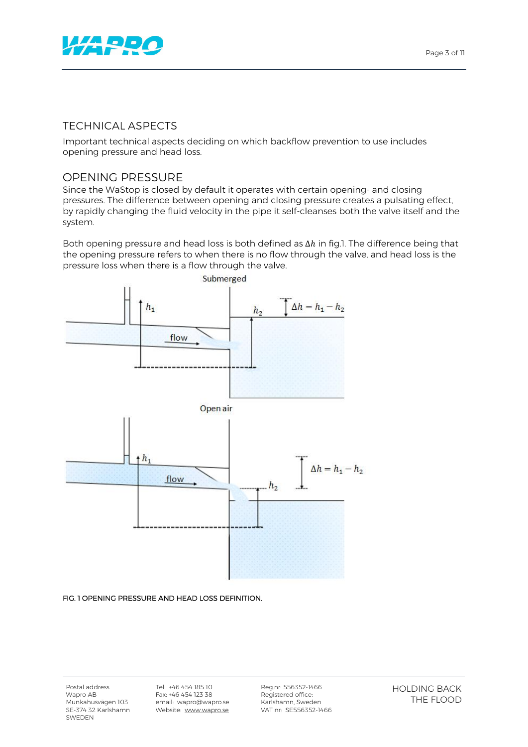

## TECHNICAL ASPECTS

Important technical aspects deciding on which backflow prevention to use includes opening pressure and head loss.

## OPENING PRESSURE

Since the WaStop is closed by default it operates with certain opening- and closing pressures. The difference between opening and closing pressure creates a pulsating effect, by rapidly changing the fluid velocity in the pipe it self-cleanses both the valve itself and the system.

Both opening pressure and head loss is both defined as  $\Delta h$  in fig.1. The difference being that the opening pressure refers to when there is no flow through the valve, and head loss is the pressure loss when there is a flow through the valve.



#### FIG. 1 OPENING PRESSURE AND HEAD LOSS DEFINITION.

Tel: +46 454 185 10 Fax: +46 454 123 38 email: wapro@wapro.se Website: www.wapro.se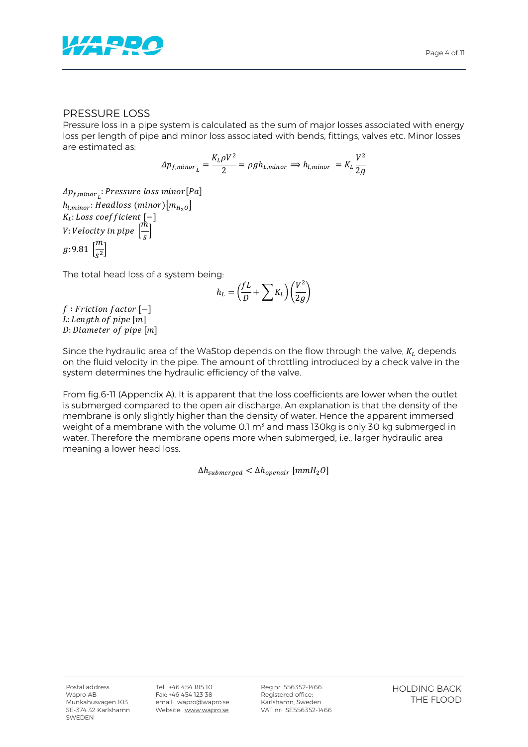

#### PRESSURE LOSS

Pressure loss in a pipe system is calculated as the sum of major losses associated with energy loss per length of pipe and minor loss associated with bends, fittings, valves etc. Minor losses are estimated as:

$$
\Delta p_{f,minor_L} = \frac{K_L \rho V^2}{2} = \rho g h_{L,minor} \implies h_{l,minor} = K_L \frac{V^2}{2g}
$$

 $\Delta p_{f,minor_{L}}$ : Pressure loss minor[Pa]  $h_{l.minor}$ : Headloss (minor) $[m_{H_2O}]$  $K_L$ : Loss coefficient  $[-]$  $V: Velocity\ in\ pipe\ [\frac{\dot{m}}{2}]$  $\frac{1}{s}$  $g: 9.81 \left[\frac{m}{s^2}\right]$ 

The total head loss of a system being:

$$
h_L = \left(\frac{fL}{D} + \sum K_L\right) \left(\frac{V^2}{2g}\right)
$$

 $f : Friction factor [-]$ L: Length of pipe [m]  $D:$  Diameter of pipe  $[m]$ 

Since the hydraulic area of the WaStop depends on the flow through the valve,  $K_L$  depends on the fluid velocity in the pipe. The amount of throttling introduced by a check valve in the system determines the hydraulic efficiency of the valve.

From fig.6-11 (Appendix A). It is apparent that the loss coefficients are lower when the outlet is submerged compared to the open air discharge. An explanation is that the density of the membrane is only slightly higher than the density of water. Hence the apparent immersed weight of a membrane with the volume 0.1  $m<sup>3</sup>$  and mass 130kg is only 30 kg submerged in water. Therefore the membrane opens more when submerged, i.e., larger hydraulic area meaning a lower head loss.

 $\Delta h_{submerged} < \Delta h_{onehair}$  [ $mmH_2O$ ]

Tel: +46 454 185 10 Fax: +46 454 123 38 email: wapro@wapro.se Website: www.wapro.se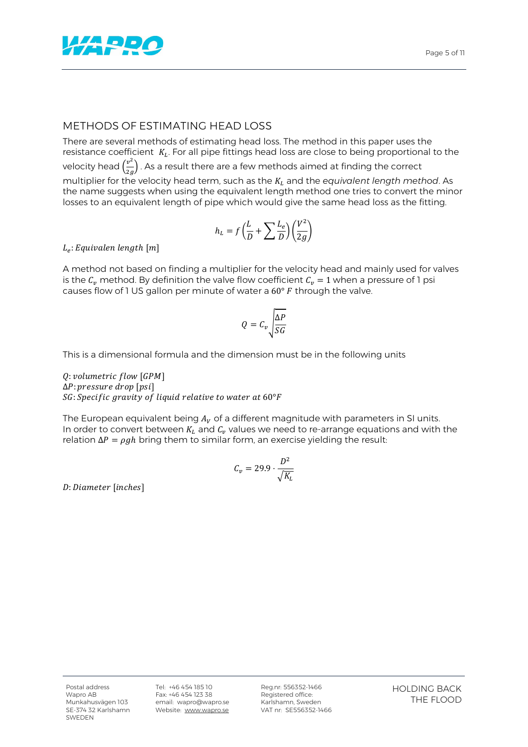

## METHODS OF ESTIMATING HEAD LOSS

There are several methods of estimating head loss. The method in this paper uses the resistance coefficient  $K_L$ . For all pipe fittings head loss are close to being proportional to the velocity head  $\left(\frac{v^2}{2}\right)$  $\frac{v}{2g}$  . As a result there are a few methods aimed at finding the correct multiplier for the velocity head term, such as the  $K<sub>L</sub>$  and the *equivalent length method*. As the name suggests when using the equivalent length method one tries to convert the minor losses to an equivalent length of pipe which would give the same head loss as the fitting.

$$
h_L=f\left(\frac{L}{D}+\sum\frac{L_e}{D}\right)\left(\frac{V^2}{2g}\right)
$$

 $L_e$ : Equivalen length  $[m]$ 

A method not based on finding a multiplier for the velocity head and mainly used for valves is the  $C_v$  method. By definition the valve flow coefficient  $C_v = 1$  when a pressure of 1 psi causes flow of 1 US gallon per minute of water a  $60^{\circ}$  F through the valve.

$$
Q = C_v \sqrt{\frac{\Delta P}{SG}}
$$

This is a dimensional formula and the dimension must be in the following units

 $0$ : volumetric flow [GPM]  $\Delta P$ : pressure drop [psi]  $SG: Specific$  gravity of liquid relative to water at  $60^{\circ}F$ 

The European equivalent being  $A_V$  of a different magnitude with parameters in SI units. In order to convert between  $K_L$  and  $C_v$  values we need to re-arrange equations and with the relation  $\Delta P = \rho g h$  bring them to similar form, an exercise yielding the result:

$$
C_v = 29.9 \cdot \frac{D^2}{\sqrt{K_L}}
$$

D: Diameter [inches]

Tel: +46 454 185 10 Fax: +46 454 123 38 email: wapro@wapro.se Website: www.wapro.se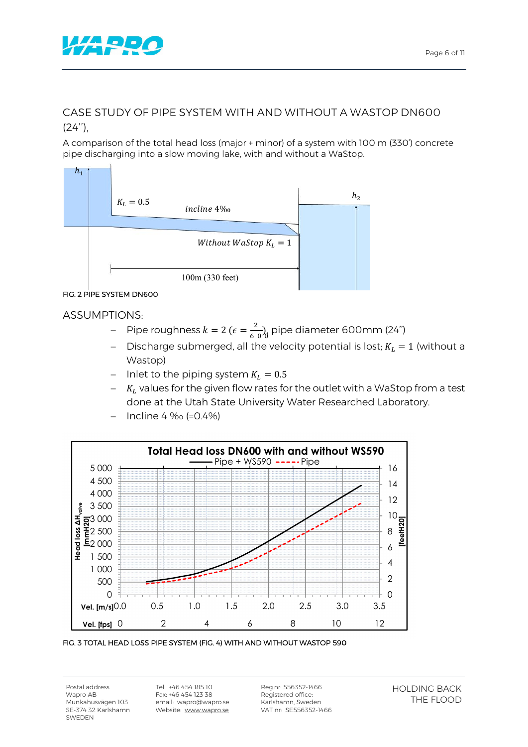

# CASE STUDY OF PIPE SYSTEM WITH AND WITHOUT A WASTOP DN600  $(24'')$ .

A comparison of the total head loss (major + minor) of a system with 100 m (330') concrete pipe discharging into a slow moving lake, with and without a WaStop.



### FIG. 2 PIPE SYSTEM DN600

ASSUMPTIONS:

- Pipe roughness  $k = 2$  ( $\epsilon = \frac{2}{600}$ ), pipe diameter 600mm (24")
- Discharge submerged, all the velocity potential is lost;  $K_L = 1$  (without a Wastop)
- Inlet to the piping system  $K_L = 0.5$
- $-$  K<sub>L</sub> values for the given flow rates for the outlet with a WaStop from a test done at the Utah State University Water Researched Laboratory.
- Incline 4 ‰ (=0.4%)



FIG. 3 TOTAL HEAD LOSS PIPE SYSTEM (FIG. 4) WITH AND WITHOUT WASTOP 590

Postal address Wapro AB Munkahusvägen 103 SE-374 32 Karlshamn SWEDEN

Tel: +46 454 185 10 Fax: +46 454 123 38 email: wapro@wapro.se Website: www.wapro.se

Reg.nr: 556352-1466 Registered office: Karlshamn, Sweden VAT nr: SE556352-1466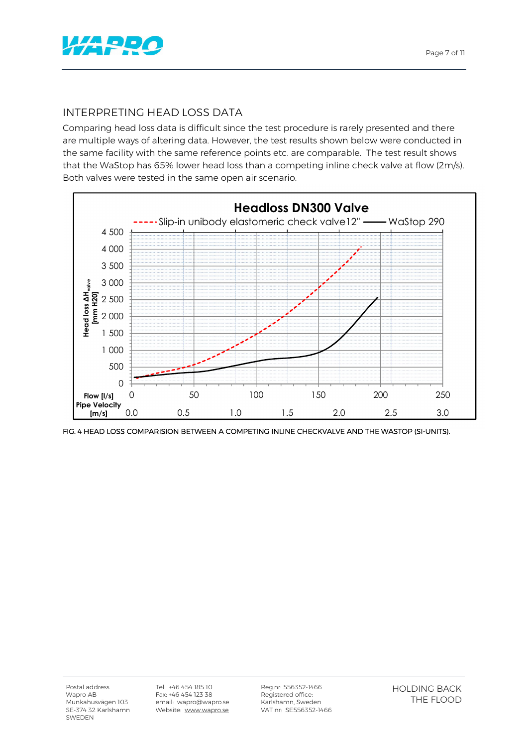

## INTERPRETING HEAD LOSS DATA

Comparing head loss data is difficult since the test procedure is rarely presented and there are multiple ways of altering data. However, the test results shown below were conducted in the same facility with the same reference points etc. are comparable. The test result shows that the WaStop has 65% lower head loss than a competing inline check valve at flow (2m/s). Both valves were tested in the same open air scenario.



FIG. 4 HEAD LOSS COMPARISION BETWEEN A COMPETING INLINE CHECKVALVE AND THE WASTOP (SI-UNITS).

Tel: +46 454 185 10 Fax: +46 454 123 38 email: wapro@wapro.se Website: www.wapro.se

Reg.nr: 556352-1466 Registered office: Karlshamn, Sweden VAT nr: SE556352-1466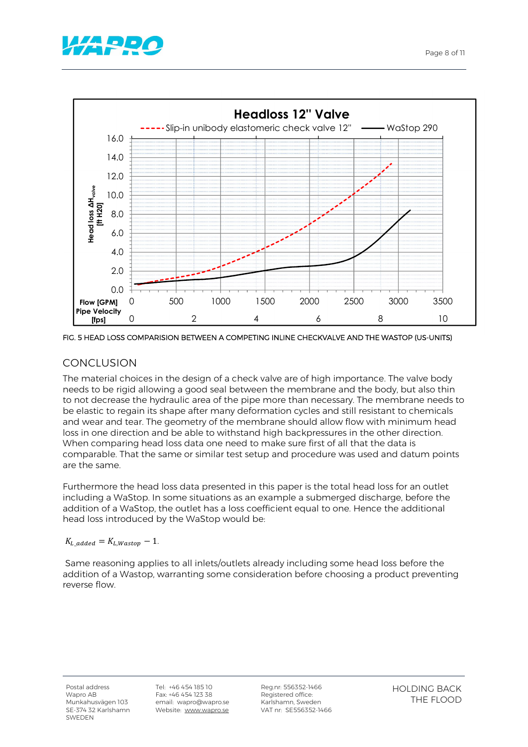





FIG. 5 HEAD LOSS COMPARISION BETWEEN A COMPETING INLINE CHECKVALVE AND THE WASTOP (US-UNITS)

# CONCLUSION

The material choices in the design of a check valve are of high importance. The valve body needs to be rigid allowing a good seal between the membrane and the body, but also thin to not decrease the hydraulic area of the pipe more than necessary. The membrane needs to be elastic to regain its shape after many deformation cycles and still resistant to chemicals and wear and tear. The geometry of the membrane should allow flow with minimum head loss in one direction and be able to withstand high backpressures in the other direction. When comparing head loss data one need to make sure first of all that the data is comparable. That the same or similar test setup and procedure was used and datum points are the same.

Furthermore the head loss data presented in this paper is the total head loss for an outlet including a WaStop. In some situations as an example a submerged discharge, before the addition of a WaStop, the outlet has a loss coefficient equal to one. Hence the additional head loss introduced by the WaStop would be:

#### $K_{L, added} = K_{L, Washington} - 1.$

Same reasoning applies to all inlets/outlets already including some head loss before the addition of a Wastop, warranting some consideration before choosing a product preventing reverse flow.

Tel: +46 454 185 10 Fax: +46 454 123 38 email: wapro@wapro.se Website: www.wapro.se

Reg.nr: 556352-1466 Registered office: Karlshamn, Sweden VAT nr: SE556352-1466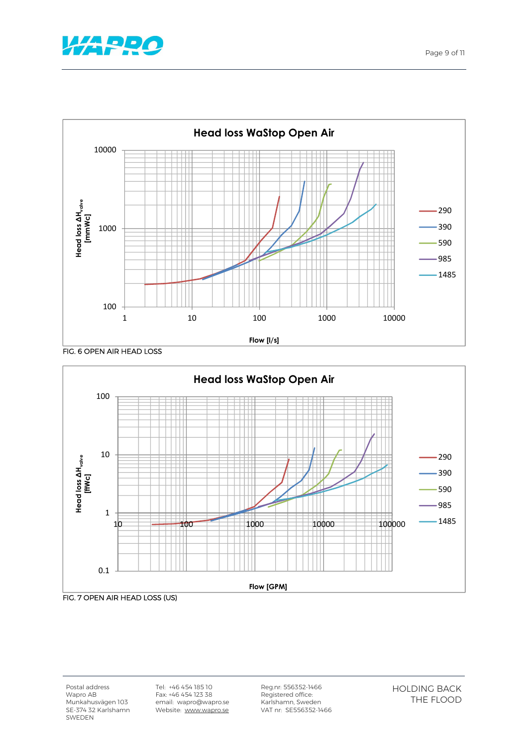



FIG. 6 OPEN AIR HEAD LOSS



Postal address Wapro AB Munkahusvägen 103 SE-374 32 Karlshamn SWEDEN

Tel: +46 454 185 10 Fax: +46 454 123 38 email: wapro@wapro.se Website: www.wapro.se Reg.nr: 556352-1466 Registered office: Karlshamn, Sweden VAT nr: SE556352-1466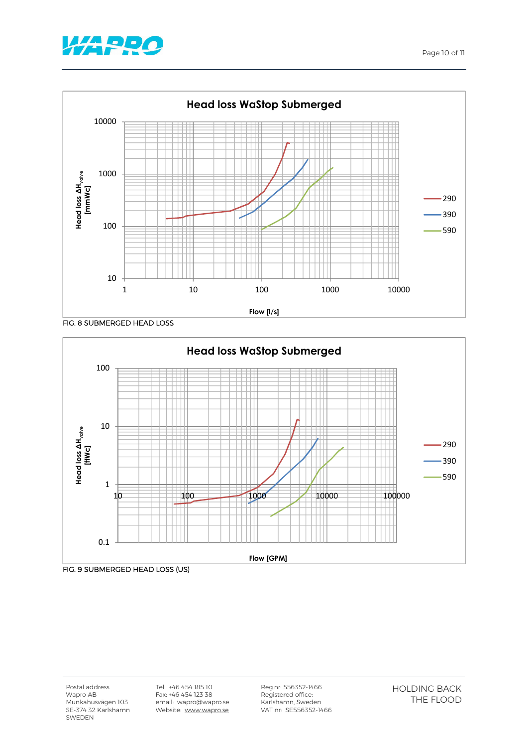









Tel: +46 454 185 10 Fax: +46 454 123 38 email: wapro@wapro.se Website: www.wapro.se